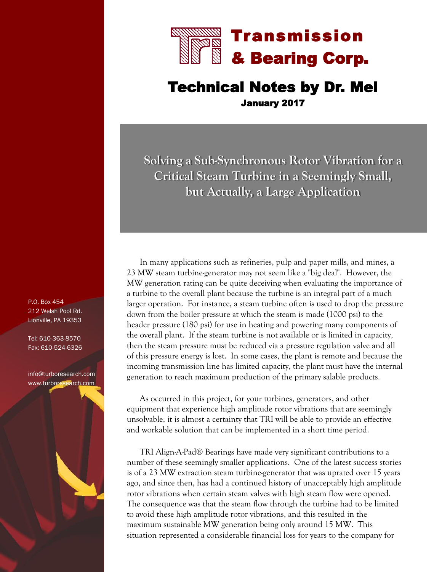

## Technical Notes by Dr. Mel January 2017

**Solving a Sub-Synchronous Rotor Vibration for a Critical Steam Turbine in a Seemingly Small, but Actually, a Large Application**

In many applications such as refineries, pulp and paper mills, and mines, a 23 MW steam turbine-generator may not seem like a "big deal". However, the MW generation rating can be quite deceiving when evaluating the importance of a turbine to the overall plant because the turbine is an integral part of a much larger operation. For instance, a steam turbine often is used to drop the pressure down from the boiler pressure at which the steam is made (1000 psi) to the header pressure (180 psi) for use in heating and powering many components of the overall plant. If the steam turbine is not available or is limited in capacity, then the steam pressure must be reduced via a pressure regulation valve and all of this pressure energy is lost. In some cases, the plant is remote and because the incoming transmission line has limited capacity, the plant must have the internal generation to reach maximum production of the primary salable products.

As occurred in this project, for your turbines, generators, and other equipment that experience high amplitude rotor vibrations that are seemingly unsolvable, it is almost a certainty that TRI will be able to provide an effective and workable solution that can be implemented in a short time period.

TRI Align-A-Pad® Bearings have made very significant contributions to a number of these seemingly smaller applications. One of the latest success stories is of a 23 MW extraction steam turbine-generator that was uprated over 15 years ago, and since then, has had a continued history of unacceptably high amplitude rotor vibrations when certain steam valves with high steam flow were opened. The consequence was that the steam flow through the turbine had to be limited to avoid these high amplitude rotor vibrations, and this resulted in the maximum sustainable MW generation being only around 15 MW. This situation represented a considerable financial loss for years to the company for

P.O. Box 454 212 Welsh Pool Rd. Lionville, PA 19353

Tel: 610-363-8570 Fax: 610-524-6326

info@turboresearch.com [www.turboresearch.com](http://www.turboresearch.com)